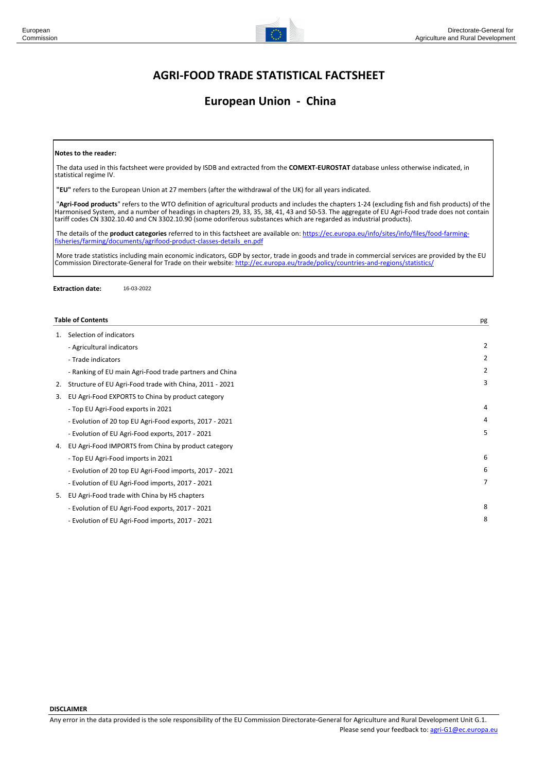

# **European Union - China**

#### **Notes to the reader:**

 The data used in this factsheet were provided by ISDB and extracted from the **COMEXT-EUROSTAT** database unless otherwise indicated, in statistical regime IV.

**"EU"** refers to the European Union at 27 members (after the withdrawal of the UK) for all years indicated.

 "**Agri-Food products**" refers to the WTO definition of agricultural products and includes the chapters 1-24 (excluding fish and fish products) of the Harmonised System, and a number of headings in chapters 29, 33, 35, 38, 41, 43 and 50-53. The aggregate of EU Agri-Food trade does not contain tariff codes CN 3302.10.40 and CN 3302.10.90 (some odoriferous substances which are regarded as industrial products).

 The details of the **product categories** referred to in this factsheet are available on: [https://ec.europa.eu/info/sites/info/files/food-farming](https://ec.europa.eu/info/sites/info/files/food-farming-fisheries/farming/documents/agrifood-product-classes-details_en.pdf)fisheries/farn

 More trade statistics including main economic indicators, GDP by sector, trade in goods and trade in commercial services are provided by the EU Commission Directorate-General for Trade on their website: <http://ec.europa.eu/trade/policy/countries-and-regions/statistics/>

**Extraction date:** 16-03-2022

|    | <b>Table of Contents</b>                                | pg             |
|----|---------------------------------------------------------|----------------|
| 1. | Selection of indicators                                 |                |
|    | - Agricultural indicators                               | 2              |
|    | - Trade indicators                                      | $\overline{2}$ |
|    | - Ranking of EU main Agri-Food trade partners and China | $\overline{2}$ |
| 2. | Structure of EU Agri-Food trade with China, 2011 - 2021 | 3              |
| 3. | EU Agri-Food EXPORTS to China by product category       |                |
|    | - Top EU Agri-Food exports in 2021                      | 4              |
|    | - Evolution of 20 top EU Agri-Food exports, 2017 - 2021 | 4              |
|    | - Evolution of EU Agri-Food exports, 2017 - 2021        | 5              |
| 4. | EU Agri-Food IMPORTS from China by product category     |                |
|    | - Top EU Agri-Food imports in 2021                      | 6              |
|    | - Evolution of 20 top EU Agri-Food imports, 2017 - 2021 | 6              |
|    | - Evolution of EU Agri-Food imports, 2017 - 2021        | $\overline{7}$ |
| 5. | EU Agri-Food trade with China by HS chapters            |                |
|    | - Evolution of EU Agri-Food exports, 2017 - 2021        | 8              |
|    | - Evolution of EU Agri-Food imports, 2017 - 2021        | 8              |

**DISCLAIMER**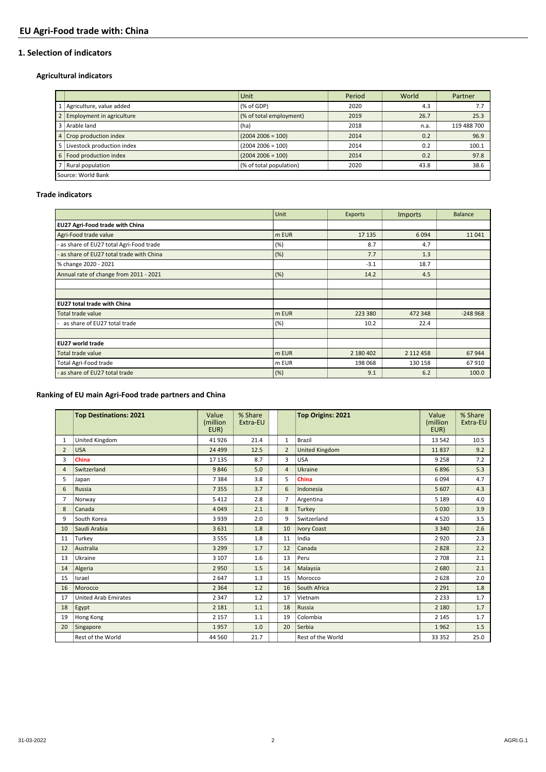### **1. Selection of indicators**

### **Agricultural indicators**

|                                  | Unit                    | Period | World | Partner     |  |  |  |  |  |
|----------------------------------|-------------------------|--------|-------|-------------|--|--|--|--|--|
| Agriculture, value added         | (% of GDP)              | 2020   | 4.3   |             |  |  |  |  |  |
| <b>Employment in agriculture</b> | (% of total employment) | 2019   | 26.7  | 25.3        |  |  |  |  |  |
| Arable land                      | (ha)                    | 2018   | n.a.  | 119 488 700 |  |  |  |  |  |
| 4 Crop production index          | $(2004 2006 = 100)$     | 2014   | 0.2   | 96.9        |  |  |  |  |  |
| Livestock production index       | $(2004 2006 = 100)$     | 2014   | 0.2   | 100.1       |  |  |  |  |  |
| 6   Food production index        | $(2004 2006 = 100)$     | 2014   | 0.2   | 97.8        |  |  |  |  |  |
| Rural population                 | (% of total population) | 2020   | 43.8  | 38.6        |  |  |  |  |  |
| Source: World Bank               |                         |        |       |             |  |  |  |  |  |

### **Trade indicators**

|                                           | Unit  | Exports   | <b>Imports</b> | <b>Balance</b> |
|-------------------------------------------|-------|-----------|----------------|----------------|
| EU27 Agri-Food trade with China           |       |           |                |                |
| Agri-Food trade value                     | m EUR | 17 13 5   | 6094           | 11041          |
| as share of EU27 total Agri-Food trade    | (%)   | 8.7       | 4.7            |                |
| - as share of EU27 total trade with China | (%)   | 7.7       | 1.3            |                |
| % change 2020 - 2021                      |       | $-3.1$    | 18.7           |                |
| Annual rate of change from 2011 - 2021    | (%)   | 14.2      | 4.5            |                |
|                                           |       |           |                |                |
|                                           |       |           |                |                |
| <b>EU27 total trade with China</b>        |       |           |                |                |
| Total trade value                         | m EUR | 223 380   | 472 348        | $-248968$      |
| as share of EU27 total trade              | (%)   | 10.2      | 22.4           |                |
|                                           |       |           |                |                |
| <b>EU27 world trade</b>                   |       |           |                |                |
| Total trade value                         | m EUR | 2 180 402 | 2 112 458      | 67944          |
| Total Agri-Food trade                     | m EUR | 198 068   | 130 158        | 67910          |
| - as share of EU27 total trade            | (%)   | 9.1       | 6.2            | 100.0          |

## **Ranking of EU main Agri-Food trade partners and China**

|                | <b>Top Destinations: 2021</b> | Value<br>(million<br>EUR) | % Share<br>Extra-EU |                | <b>Top Origins: 2021</b> | Value<br>(million<br>EUR) | % Share<br>Extra-EU |
|----------------|-------------------------------|---------------------------|---------------------|----------------|--------------------------|---------------------------|---------------------|
| 1              | United Kingdom                | 41926                     | 21.4                | $\mathbf{1}$   | <b>Brazil</b>            | 13 542                    | 10.5                |
| $\overline{2}$ | <b>USA</b>                    | 24 4 9 9                  | 12.5                | $\overline{2}$ | United Kingdom           | 11837                     | 9.2                 |
| 3              | China                         | 17 135                    | 8.7                 | 3              | <b>USA</b>               | 9 2 5 8                   | 7.2                 |
| $\overline{4}$ | Switzerland                   | 9846                      | 5.0                 | $\overline{4}$ | Ukraine                  | 6896                      | 5.3                 |
| 5              | Japan                         | 7384                      | 3.8                 | 5              | China                    | 6094                      | 4.7                 |
| 6              | Russia                        | 7355                      | 3.7                 | 6              | Indonesia                | 5 6 0 7                   | 4.3                 |
| $\overline{7}$ | Norway                        | 5412                      | 2.8                 | 7              | Argentina                | 5 1 8 9                   | 4.0                 |
| 8              | Canada                        | 4 0 4 9                   | 2.1                 | 8              | Turkey                   | 5 0 3 0                   | 3.9                 |
| 9              | South Korea                   | 3939                      | 2.0                 | 9              | Switzerland              | 4520                      | 3.5                 |
| 10             | Saudi Arabia                  | 3631                      | 1.8                 | 10             | <b>Ivory Coast</b>       | 3 3 4 0                   | 2.6                 |
| 11             | Turkey                        | 3555                      | 1.8                 | 11             | India                    | 2920                      | 2.3                 |
| 12             | Australia                     | 3 2 9 9                   | 1.7                 | 12             | Canada                   | 2828                      | 2.2                 |
| 13             | Ukraine                       | 3 1 0 7                   | 1.6                 | 13             | Peru                     | 2 7 0 8                   | 2.1                 |
| 14             | Algeria                       | 2950                      | 1.5                 | 14             | Malaysia                 | 2680                      | 2.1                 |
| 15             | Israel                        | 2647                      | 1.3                 | 15             | Morocco                  | 2628                      | 2.0                 |
| 16             | Morocco                       | 2 3 6 4                   | 1.2                 | 16             | South Africa             | 2 2 9 1                   | 1.8                 |
| 17             | <b>United Arab Emirates</b>   | 2 3 4 7                   | 1.2                 | 17             | Vietnam                  | 2 2 3 3                   | 1.7                 |
| 18             | Egypt                         | 2 1 8 1                   | 1.1                 | 18             | Russia                   | 2 1 8 0                   | 1.7                 |
| 19             | Hong Kong                     | 2 1 5 7                   | 1.1                 | 19             | Colombia                 | 2 1 4 5                   | 1.7                 |
| 20             | Singapore                     | 1957                      | 1.0                 | 20             | Serbia                   | 1962                      | 1.5                 |
|                | Rest of the World             | 44 5 60                   | 21.7                |                | Rest of the World        | 33 352                    | 25.0                |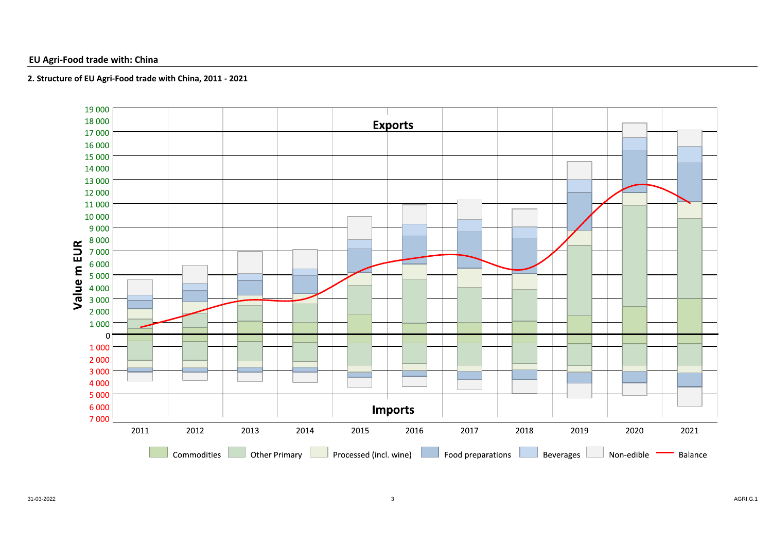### **EU Agri-Food trade with: China**

### **2. Structure of EU Agri-Food trade with China, 2011 - 2021**

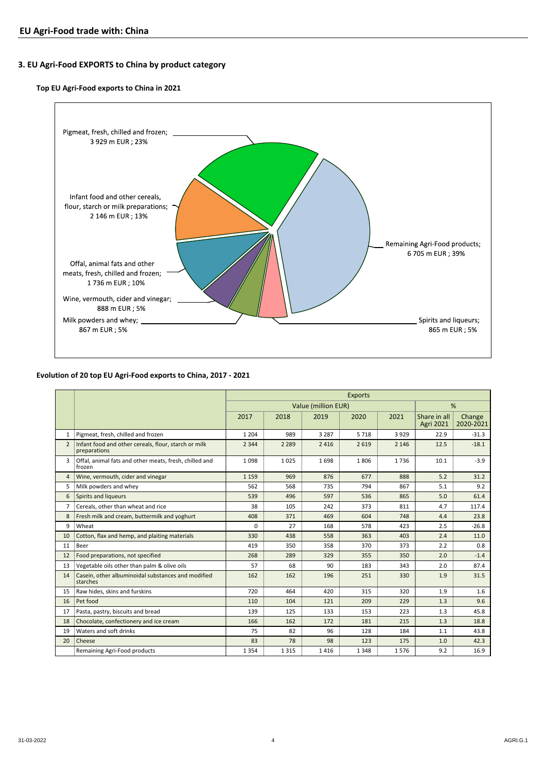## **3. EU Agri-Food EXPORTS to China by product category**

#### **Top EU Agri-Food exports to China in 2021**



#### **Evolution of 20 top EU Agri-Food exports to China, 2017 - 2021**

|                |                                                                      | <b>Exports</b> |         |                     |      |         |                                  |                     |  |
|----------------|----------------------------------------------------------------------|----------------|---------|---------------------|------|---------|----------------------------------|---------------------|--|
|                |                                                                      |                |         | Value (million EUR) |      |         |                                  | %                   |  |
|                |                                                                      | 2017           | 2018    | 2019                | 2020 | 2021    | Share in all<br><b>Agri 2021</b> | Change<br>2020-2021 |  |
| $\mathbf{1}$   | Pigmeat, fresh, chilled and frozen                                   | 1 2 0 4        | 989     | 3 2 8 7             | 5718 | 3929    | 22.9                             | $-31.3$             |  |
| $\overline{2}$ | Infant food and other cereals, flour, starch or milk<br>preparations | 2 3 4 4        | 2 2 8 9 | 2416                | 2619 | 2 1 4 6 | 12.5                             | $-18.1$             |  |
| 3              | Offal, animal fats and other meats, fresh, chilled and<br>frozen     | 1098           | 1025    | 1698                | 1806 | 1736    | 10.1                             | $-3.9$              |  |
| 4              | Wine, vermouth, cider and vinegar                                    | 1 1 5 9        | 969     | 876                 | 677  | 888     | 5.2                              | 31.2                |  |
| 5              | Milk powders and whey                                                | 562            | 568     | 735                 | 794  | 867     | 5.1                              | 9.2                 |  |
| 6              | Spirits and liqueurs                                                 | 539            | 496     | 597                 | 536  | 865     | 5.0                              | 61.4                |  |
| 7              | Cereals, other than wheat and rice                                   | 38             | 105     | 242                 | 373  | 811     | 4.7                              | 117.4               |  |
| 8              | Fresh milk and cream, buttermilk and yoghurt                         | 408            | 371     | 469                 | 604  | 748     | 4.4                              | 23.8                |  |
| 9              | Wheat                                                                | 0              | 27      | 168                 | 578  | 423     | 2.5                              | $-26.8$             |  |
| 10             | Cotton, flax and hemp, and plaiting materials                        | 330            | 438     | 558                 | 363  | 403     | 2.4                              | 11.0                |  |
| 11             | Beer                                                                 | 419            | 350     | 358                 | 370  | 373     | 2.2                              | 0.8                 |  |
| 12             | Food preparations, not specified                                     | 268            | 289     | 329                 | 355  | 350     | 2.0                              | $-1.4$              |  |
| 13             | Vegetable oils other than palm & olive oils                          | 57             | 68      | 90                  | 183  | 343     | 2.0                              | 87.4                |  |
| 14             | Casein, other albuminoidal substances and modified<br>starches       | 162            | 162     | 196                 | 251  | 330     | 1.9                              | 31.5                |  |
| 15             | Raw hides, skins and furskins                                        | 720            | 464     | 420                 | 315  | 320     | 1.9                              | 1.6                 |  |
| 16             | Pet food                                                             | 110            | 104     | 121                 | 209  | 229     | 1.3                              | 9.6                 |  |
| 17             | Pasta, pastry, biscuits and bread                                    | 139            | 125     | 133                 | 153  | 223     | 1.3                              | 45.8                |  |
| 18             | Chocolate, confectionery and ice cream                               | 166            | 162     | 172                 | 181  | 215     | 1.3                              | 18.8                |  |
| 19             | Waters and soft drinks                                               | 75             | 82      | 96                  | 128  | 184     | 1.1                              | 43.8                |  |
| 20             | Cheese                                                               | 83             | 78      | 98                  | 123  | 175     | 1.0                              | 42.3                |  |
|                | Remaining Agri-Food products                                         | 1354           | 1315    | 1416                | 1348 | 1576    | 9.2                              | 16.9                |  |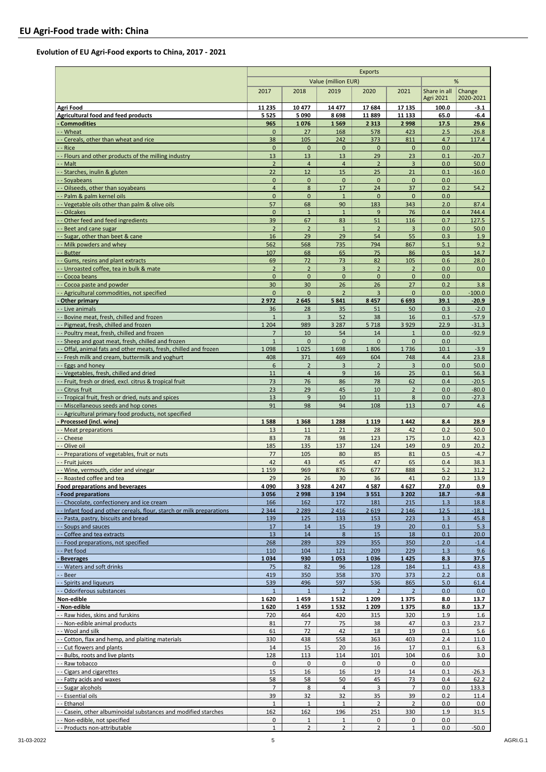### **Evolution of EU Agri-Food exports to China, 2017 - 2021**

|                                                                                                               | <b>Exports</b>                |                                |                                |                       |                    |                                  |                          |
|---------------------------------------------------------------------------------------------------------------|-------------------------------|--------------------------------|--------------------------------|-----------------------|--------------------|----------------------------------|--------------------------|
|                                                                                                               |                               |                                | Value (million EUR)            |                       |                    |                                  | %                        |
|                                                                                                               | 2017                          | 2018                           | 2019                           | 2020                  | 2021               | Share in all<br><b>Agri 2021</b> | Change<br>2020-2021      |
| Agri Food                                                                                                     | 11 2 35                       | 10 477                         | 14 477                         | 17684                 | 17 135             | 100.0                            | $-3.1$                   |
| Agricultural food and feed products                                                                           | 5 5 2 5                       | 5090                           | 8698                           | 11889                 | 11 133             | 65.0                             | $-6.4$                   |
| - Commodities                                                                                                 | 965                           | 1076                           | 1569                           | 2 3 1 3               | 2998               | 17.5                             | 29.6                     |
| - Wheat                                                                                                       | $\mathbf{0}$                  | 27                             | 168                            | 578                   | 423                | 2.5                              | $-26.8$                  |
| Cereals, other than wheat and rice<br>Rice                                                                    | 38<br>$\pmb{0}$               | 105<br>$\mathbf 0$             | 242<br>$\pmb{0}$               | 373<br>$\mathbf 0$    | 811<br>$\mathbf 0$ | 4.7<br>0.0                       | 117.4                    |
| - Flours and other products of the milling industry                                                           | 13                            | 13                             | 13                             | 29                    | 23                 | 0.1                              | $-20.7$                  |
| - Malt                                                                                                        | $\overline{2}$                | $\overline{4}$                 | $\overline{4}$                 | $\overline{2}$        | $\overline{3}$     | 0.0                              | 50.0                     |
| -- Starches, inulin & gluten                                                                                  | 22                            | 12                             | 15                             | 25                    | 21                 | 0.1                              | $-16.0$                  |
| --Soyabeans                                                                                                   | $\mathbf{0}$                  | $\mathbf{0}$                   | $\mathbf{0}$                   | $\mathbf{0}$          | $\mathbf 0$        | 0.0                              |                          |
| - - Oilseeds, other than soyabeans<br>Palm & palm kernel oils                                                 | $\overline{4}$<br>$\mathbf 0$ | 8<br>$\mathbf 0$               | 17<br>$\mathbf{1}$             | 24<br>$\mathbf 0$     | 37<br>$\mathbf{0}$ | 0.2<br>0.0                       | 54.2                     |
| Vegetable oils other than palm & olive oils                                                                   | 57                            | 68                             | 90                             | 183                   | 343                | 2.0                              | 87.4                     |
| Oilcakes                                                                                                      | $\mathbf{0}$                  | $\mathbf{1}$                   | $\mathbf{1}$                   | 9                     | 76                 | 0.4                              | 744.4                    |
| Other feed and feed ingredients                                                                               | 39                            | 67                             | 83                             | 51                    | 116                | 0.7                              | 127.5                    |
| Beet and cane sugar                                                                                           | $\overline{2}$                | $\overline{2}$                 | $\mathbf{1}$                   | $\overline{2}$        | $\overline{3}$     | 0.0                              | 50.0                     |
| Sugar, other than beet & cane<br>Milk powders and whev                                                        | 16                            | 29                             | 29                             | 54<br>794             | 55                 | 0.3<br>5.1                       | 1.9<br>9.2               |
| <b>Butter</b>                                                                                                 | 562<br>107                    | 568<br>68                      | 735<br>65                      | 75                    | 867<br>86          | 0.5                              | 14.7                     |
| Gums, resins and plant extracts                                                                               | 69                            | 72                             | 73                             | 82                    | 105                | 0.6                              | 28.0                     |
| Unroasted coffee, tea in bulk & mate                                                                          | $\overline{2}$                | $\overline{2}$                 | 3                              | $\overline{2}$        | $\overline{2}$     | 0.0                              | 0.0                      |
| - - Cocoa beans                                                                                               | $\mathbf{0}$                  | $\mathbf{0}$                   | $\overline{0}$                 | $\mathbf{0}$          | $\mathbf{0}$       | 0.0                              |                          |
| - - Cocoa paste and powder                                                                                    | 30                            | 30                             | 26                             | 26                    | 27                 | 0.2                              | 3.8                      |
| - - Agricultural commodities, not specified                                                                   | $\mathbf{0}$                  | $\mathbf{0}$                   | $\overline{2}$                 | $\overline{3}$        | $\mathbf{0}$       | 0.0                              | $-100.0$                 |
| - Other primary<br>- - Live animals                                                                           | 2972<br>36                    | 2 6 4 5<br>28                  | 5841<br>35                     | 8457<br>51            | 6693<br>50         | 39.1<br>0.3                      | $-20.9$<br>$-2.0$        |
| - Bovine meat, fresh, chilled and frozen                                                                      | $\mathbf{1}$                  | $\overline{3}$                 | 52                             | 38                    | 16                 | 0.1                              | $-57.9$                  |
| Pigmeat, fresh, chilled and frozen                                                                            | 1 2 0 4                       | 989                            | 3 2 8 7                        | 5718                  | 3929               | 22.9                             | $-31.3$                  |
| - Poultry meat, fresh, chilled and frozen                                                                     | $\overline{7}$                | 10                             | 54                             | 14                    | $\mathbf{1}$       | 0.0                              | $-92.9$                  |
| - Sheep and goat meat, fresh, chilled and frozen                                                              | $\mathbf{1}$                  | $\mathbf 0$                    | $\mathbf{0}$                   | $\mathbf{0}$          | $\mathbf{0}$       | 0.0                              |                          |
| Offal, animal fats and other meats, fresh, chilled and frozen                                                 | 1098                          | 1025                           | 1698                           | 1806                  | 1736               | 10.1                             | $-3.9$                   |
| Fresh milk and cream, buttermilk and yoghurt<br>- - Eggs and honey                                            | 408<br>6                      | 371<br>$\overline{2}$          | 469<br>3                       | 604<br>$\overline{2}$ | 748<br>3           | 4.4<br>0.0                       | 23.8<br>50.0             |
| Vegetables, fresh, chilled and dried                                                                          | 11                            | $\overline{4}$                 | 9                              | 16                    | 25                 | 0.1                              | 56.3                     |
| -- Fruit, fresh or dried, excl. citrus & tropical fruit                                                       | 73                            | 76                             | 86                             | 78                    | 62                 | 0.4                              | $-20.5$                  |
| - - Citrus fruit                                                                                              | 23                            | 29                             | 45                             | 10                    | $\overline{2}$     | 0.0                              | $-80.0$                  |
| -- Tropical fruit, fresh or dried, nuts and spices                                                            | 13                            | 9                              | 10                             | 11                    | 8                  | 0.0                              | $-27.3$                  |
| - - Miscellaneous seeds and hop cones<br>-- Agricultural primary food products, not specified                 | 91                            | 98                             | 94                             | 108                   | 113                | 0.7                              | 4.6                      |
| Processed (incl. wine)                                                                                        | 1588                          | 1 3 6 8                        | 1 2 8 8                        | 1 1 1 9               | 1442               | 8.4                              | 28.9                     |
| - - Meat preparations                                                                                         | 13                            | 11                             | 21                             | 28                    | 42                 | 0.2                              | 50.0                     |
| -- Cheese                                                                                                     | 83                            | 78                             | 98                             | 123                   | 175                | 1.0                              | 42.3                     |
| Olive oil                                                                                                     | 185                           | 135                            | 137                            | 124                   | 149                | 0.9                              | 20.2                     |
| - Preparations of vegetables, fruit or nuts                                                                   | 77                            | 105                            | 80                             | 85                    | 81                 | 0.5                              | $-4.7$                   |
| Fruit juices<br>- Wine, vermouth, cider and vinegar                                                           | 42<br>1 1 5 9                 | 43<br>969                      | 45<br>876                      | 47<br>677             | 65<br>888          | 0.4<br>5.2                       | 38.3<br>31.2             |
| - - Roasted coffee and tea                                                                                    | 29                            | 26                             | 30                             | 36                    | 41                 | 0.2                              | 13.9                     |
| Food preparations and beverages                                                                               | 4090                          | 3928                           | 4 247                          | 4587                  | 4627               | 27.0                             | 0.9                      |
| - Food preparations                                                                                           | 3056                          | 2998                           | 3 1 9 4                        | 3551                  | 3 2 0 2            | 18.7                             | $-9.8$                   |
| - - Chocolate, confectionery and ice cream                                                                    | 166                           | 162                            | 172                            | 181                   | 215                | 1.3                              | 18.8                     |
| -- Infant food and other cereals, flour, starch or milk preparations<br>- - Pasta, pastry, biscuits and bread | 2 3 4 4<br>139                | 2 2 8 9<br>125                 | 2 4 1 6<br>133                 | 2 6 1 9<br>153        | 2 1 4 6<br>223     | 12.5<br>1.3                      | $-18.1$<br>45.8          |
| - - Soups and sauces                                                                                          | 17                            | 14                             | 15                             | <u>19</u>             | 20                 | 0.1                              | 5.3                      |
| - - Coffee and tea extracts                                                                                   | 13                            | 14                             | 8                              | 15                    | 18                 | 0.1                              | 20.0                     |
| -- Food preparations, not specified                                                                           | 268                           | 289                            | 329                            | 355                   | 350                | 2.0                              | $-1.4$                   |
| - Pet food                                                                                                    | 110                           | 104                            | 121                            | 209                   | 229                | 1.3                              | 9.6                      |
| <b>Beverages</b><br>- Waters and soft drinks                                                                  | 1034<br>75                    | 930<br>82                      | 1053<br>96                     | 1036<br>128           | 1425<br>184        | 8.3<br>1.1                       | 37.5<br>43.8             |
| - Beer                                                                                                        | 419                           | 350                            | 358                            | 370                   | 373                | 2.2                              | 0.8                      |
| Spirits and liqueurs                                                                                          | 539                           | 496                            | 597                            | 536                   | 865                | 5.0                              | 61.4                     |
| - - Odoriferous substances                                                                                    | $\mathbf{1}$                  | $\mathbf{1}$                   | $\overline{2}$                 | $\overline{2}$        | $\overline{2}$     | 0.0                              | 0.0                      |
| Non-edible                                                                                                    | 1620                          | 1459                           | 1532                           | 1 2 0 9               | 1375               | 8.0                              | 13.7                     |
| Non-edible<br>- - Raw hides, skins and furskins                                                               | 1620                          | 1459                           | 1532                           | 1 2 0 9               | 1375               | 8.0                              | 13.7                     |
| -- Non-edible animal products                                                                                 | 720<br>81                     | 464<br>77                      | 420<br>75                      | 315<br>38             | 320<br>47          | 1.9<br>0.3                       | $1.6\phantom{0}$<br>23.7 |
| - - Wool and silk                                                                                             | 61                            | 72                             | 42                             | 18                    | 19                 | 0.1                              | 5.6                      |
| -- Cotton, flax and hemp, and plaiting materials                                                              | 330                           | 438                            | 558                            | 363                   | 403                | 2.4                              | 11.0                     |
| -- Cut flowers and plants                                                                                     | 14                            | 15                             | 20                             | 16                    | 17                 | 0.1                              | 6.3                      |
| --Bulbs, roots and live plants                                                                                | 128                           | 113                            | 114                            | 101                   | 104                | 0.6                              | 3.0                      |
| - - Raw tobacco<br>- - Cigars and cigarettes                                                                  | 0<br>15                       | 0<br>16                        | 0<br>16                        | 0<br>19               | 0<br>14            | 0.0<br>0.1                       | $-26.3$                  |
| - Fatty acids and waxes                                                                                       | 58                            | 58                             | 50                             | 45                    | 73                 | 0.4                              | 62.2                     |
| - Sugar alcohols                                                                                              | $\overline{7}$                | 8                              | $\overline{4}$                 | 3                     | $\overline{7}$     | 0.0                              | 133.3                    |
| - Essential oils                                                                                              | 39                            | 32                             | 32                             | 35                    | 39                 | 0.2                              | 11.4                     |
| - - Ethanol                                                                                                   | $\mathbf{1}$                  | $\mathbf{1}$                   | $\mathbf{1}$                   | $\overline{2}$        | $\overline{2}$     | 0.0                              | 0.0                      |
| - - Casein, other albuminoidal substances and modified starches                                               | 162                           | 162                            | 196                            | 251                   | 330                | 1.9                              | 31.5                     |
| -- Non-edible, not specified<br>- Products non-attributable                                                   | 0<br>$\mathbf{1}$             | $\mathbf{1}$<br>$\overline{2}$ | $\mathbf{1}$<br>$\overline{2}$ | 0<br>$\overline{2}$   | 0<br>$1\,$         | 0.0<br>0.0                       | -50.0                    |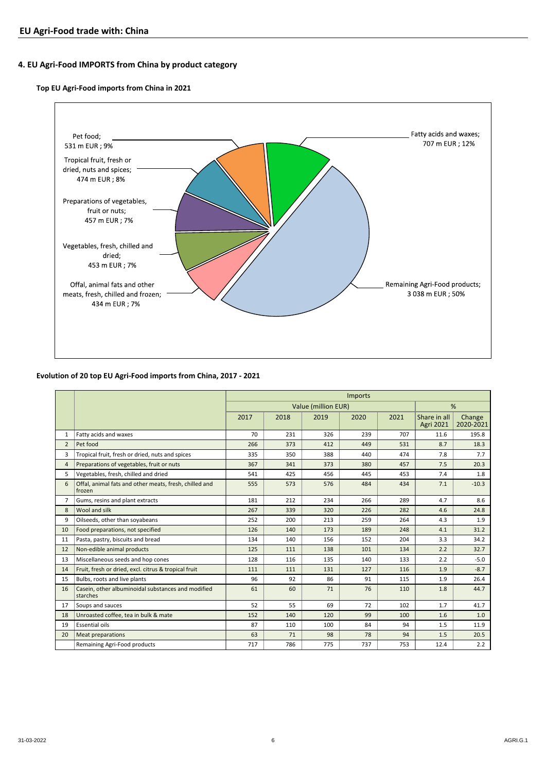### **4. EU Agri-Food IMPORTS from China by product category**

### **Top EU Agri-Food imports from China in 2021**



#### **Evolution of 20 top EU Agri-Food imports from China, 2017 - 2021**

|                |                                                                  | <b>Imports</b> |      |                     |      |      |                           |                     |  |
|----------------|------------------------------------------------------------------|----------------|------|---------------------|------|------|---------------------------|---------------------|--|
|                |                                                                  |                |      | Value (million EUR) |      |      |                           | %                   |  |
|                |                                                                  | 2017           | 2018 | 2019                | 2020 | 2021 | Share in all<br>Agri 2021 | Change<br>2020-2021 |  |
| $\mathbf{1}$   | Fatty acids and waxes                                            | 70             | 231  | 326                 | 239  | 707  | 11.6                      | 195.8               |  |
| $\overline{2}$ | Pet food                                                         | 266            | 373  | 412                 | 449  | 531  | 8.7                       | 18.3                |  |
| 3              | Tropical fruit, fresh or dried, nuts and spices                  | 335            | 350  | 388                 | 440  | 474  | 7.8                       | 7.7                 |  |
| 4              | Preparations of vegetables, fruit or nuts                        | 367            | 341  | 373                 | 380  | 457  | 7.5                       | 20.3                |  |
| 5              | Vegetables, fresh, chilled and dried                             | 541            | 425  | 456                 | 445  | 453  | 7.4                       | 1.8                 |  |
| 6              | Offal, animal fats and other meats, fresh, chilled and<br>frozen | 555            | 573  | 576                 | 484  | 434  | 7.1                       | $-10.3$             |  |
| $\overline{7}$ | Gums, resins and plant extracts                                  | 181            | 212  | 234                 | 266  | 289  | 4.7                       | 8.6                 |  |
| 8              | Wool and silk                                                    | 267            | 339  | 320                 | 226  | 282  | 4.6                       | 24.8                |  |
| 9              | Oilseeds, other than soyabeans                                   | 252            | 200  | 213                 | 259  | 264  | 4.3                       | 1.9                 |  |
| 10             | Food preparations, not specified                                 | 126            | 140  | 173                 | 189  | 248  | 4.1                       | 31.2                |  |
| 11             | Pasta, pastry, biscuits and bread                                | 134            | 140  | 156                 | 152  | 204  | 3.3                       | 34.2                |  |
| 12             | Non-edible animal products                                       | 125            | 111  | 138                 | 101  | 134  | 2.2                       | 32.7                |  |
| 13             | Miscellaneous seeds and hop cones                                | 128            | 116  | 135                 | 140  | 133  | 2.2                       | $-5.0$              |  |
| 14             | Fruit, fresh or dried, excl. citrus & tropical fruit             | 111            | 111  | 131                 | 127  | 116  | 1.9                       | $-8.7$              |  |
| 15             | Bulbs, roots and live plants                                     | 96             | 92   | 86                  | 91   | 115  | 1.9                       | 26.4                |  |
| 16             | Casein, other albuminoidal substances and modified<br>starches   | 61             | 60   | 71                  | 76   | 110  | 1.8                       | 44.7                |  |
| 17             | Soups and sauces                                                 | 52             | 55   | 69                  | 72   | 102  | 1.7                       | 41.7                |  |
| 18             | Unroasted coffee, tea in bulk & mate                             | 152            | 140  | 120                 | 99   | 100  | 1.6                       | 1.0                 |  |
| 19             | <b>Essential oils</b>                                            | 87             | 110  | 100                 | 84   | 94   | 1.5                       | 11.9                |  |
| 20             | <b>Meat preparations</b>                                         | 63             | 71   | 98                  | 78   | 94   | 1.5                       | 20.5                |  |
|                | Remaining Agri-Food products                                     | 717            | 786  | 775                 | 737  | 753  | 12.4                      | 2.2                 |  |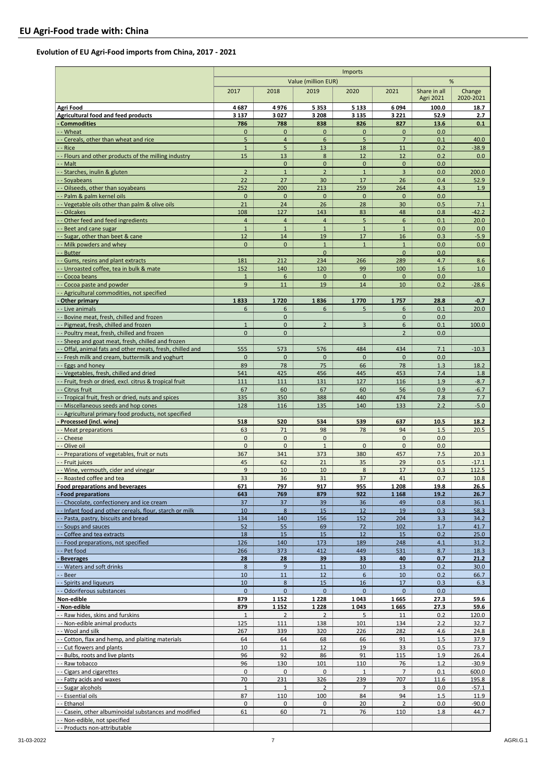### **Evolution of EU Agri-Food imports from China, 2017 - 2021**

|                                                                                                       | Imports                   |                              |                                |                              |                      |                                  |                     |
|-------------------------------------------------------------------------------------------------------|---------------------------|------------------------------|--------------------------------|------------------------------|----------------------|----------------------------------|---------------------|
|                                                                                                       |                           |                              | Value (million EUR)            |                              |                      |                                  | %                   |
|                                                                                                       | 2017                      | 2018                         | 2019                           | 2020                         | 2021                 | Share in all<br><b>Agri 2021</b> | Change<br>2020-2021 |
| <b>Agri Food</b>                                                                                      | 4687                      | 4976                         | 5 3 5 3                        | 5 1 3 3                      | 6094                 | 100.0                            | 18.7                |
| Agricultural food and feed products                                                                   | 3 1 3 7                   | 3027                         | 3 2 0 8                        | 3 1 3 5                      | 3 2 2 1              | 52.9                             | 2.7                 |
| <b>Commodities</b><br>- Wheat                                                                         | 786<br>$\mathbf{0}$       | 788<br>$\mathbf{0}$          | 838<br>$\mathbf{0}$            | 826<br>$\mathbf 0$           | 827<br>$\mathbf{0}$  | 13.6<br>0.0                      | 0.1                 |
| Cereals, other than wheat and rice                                                                    | 5                         | $\overline{4}$               | 6                              | 5                            | $7\overline{ }$      | 0.1                              | 40.0                |
| Rice                                                                                                  | $\mathbf{1}$              | 5                            | 13                             | 18                           | 11                   | 0.2                              | $-38.9$             |
| Flours and other products of the milling industry                                                     | 15                        | 13                           | 8                              | 12                           | 12                   | 0.2                              | 0.0                 |
| Malt<br>Starches, inulin & gluten                                                                     | $\overline{2}$            | $\mathbf{0}$<br>$\mathbf{1}$ | $\mathbf{0}$<br>$\overline{2}$ | $\mathbf{0}$<br>$\mathbf{1}$ | $\mathbf{0}$<br>3    | 0.0<br>0.0                       | 200.0               |
| Soyabeans                                                                                             | 22                        | 27                           | 30                             | 17                           | 26                   | 0.4                              | 52.9                |
| - - Oilseeds, other than soyabeans                                                                    | 252                       | 200                          | 213                            | 259                          | 264                  | 4.3                              | 1.9                 |
| - Palm & palm kernel oils                                                                             | $\mathbf{0}$              | $\mathbf{0}$                 | $\mathbf 0$                    | $\mathbf 0$                  | $\mathbf{0}$         | 0.0                              |                     |
| - Vegetable oils other than palm & olive oils<br>-- Oilcakes                                          | 21<br>108                 | 24<br>127                    | 26<br>143                      | 28<br>83                     | 30<br>48             | 0.5<br>0.8                       | 7.1<br>$-42.2$      |
| Other feed and feed ingredients                                                                       | $\overline{4}$            | $\overline{4}$               | $\overline{4}$                 | 5                            | 6                    | 0.1                              | 20.0                |
| Beet and cane sugar                                                                                   | $\mathbf{1}$              | $\mathbf{1}$                 | $\mathbf{1}$                   | $\mathbf{1}$                 | $\mathbf{1}$         | 0.0                              | 0.0                 |
| Sugar, other than beet & cane<br>Milk powders and whey                                                | 12<br>$\mathbf{0}$        | 14<br>$\Omega$               | 19<br>$\mathbf{1}$             | 17<br>$\overline{1}$         | 16<br>$\mathbf{1}$   | 0.3<br>0.0                       | $-5.9$<br>0.0       |
| - Butter                                                                                              |                           |                              | $\mathbf{0}$                   |                              | $\mathbf{0}$         | 0.0                              |                     |
| Gums, resins and plant extracts                                                                       | 181                       | 212                          | 234                            | 266                          | 289                  | 4.7                              | 8.6                 |
| Unroasted coffee, tea in bulk & mate                                                                  | 152                       | 140                          | 120                            | 99                           | 100                  | 1.6                              | 1.0                 |
| - Cocoa beans<br>Cocoa paste and powder                                                               | $\mathbf{1}$<br>9         | 6<br>11                      | $\mathbf{0}$<br>19             | $\overline{0}$<br>14         | $\mathbf{0}$<br>10   | 0.0<br>0.2                       | $-28.6$             |
| - Agricultural commodities, not specified                                                             |                           |                              |                                |                              |                      |                                  |                     |
| Other primary                                                                                         | 1833                      | 1720                         | 1836                           | 1770                         | 1757                 | 28.8                             | $-0.7$              |
| - - Live animals                                                                                      | 6                         | 6                            | 6                              | 5                            | 6                    | 0.1                              | 20.0                |
| - - Bovine meat, fresh, chilled and frozen<br>-- Pigmeat, fresh, chilled and frozen                   | $\mathbf{1}$              | $\mathbf{0}$<br>$\mathbf{0}$ | $\overline{2}$                 | $\overline{3}$               | $\mathbf{0}$<br>6    | 0.0<br>0.1                       | 100.0               |
| - - Poultry meat, fresh, chilled and frozen                                                           | $\mathbf{0}$              | $\overline{0}$               |                                |                              | $\overline{2}$       | 0.0                              |                     |
| - - Sheep and goat meat, fresh, chilled and frozen                                                    |                           |                              |                                |                              |                      |                                  |                     |
| Offal, animal fats and other meats, fresh, chilled and                                                | 555                       | 573                          | 576                            | 484                          | 434                  | 7.1                              | $-10.3$             |
| Fresh milk and cream, buttermilk and yoghurt<br>- Eggs and honey                                      | $\mathbf 0$<br>89         | $\mathbf 0$<br>78            | $\mathbf 0$<br>75              | $\mathbf 0$<br>66            | $\mathbf{0}$<br>78   | 0.0<br>1.3                       | 18.2                |
| Vegetables, fresh, chilled and dried                                                                  | 541                       | 425                          | 456                            | 445                          | 453                  | 7.4                              | 1.8                 |
| - Fruit, fresh or dried, excl. citrus & tropical fruit                                                | 111                       | 111                          | 131                            | 127                          | 116                  | 1.9                              | $-8.7$              |
| Citrus fruit                                                                                          | 67                        | 60                           | 67                             | 60                           | 56                   | 0.9                              | $-6.7$              |
| -- Tropical fruit, fresh or dried, nuts and spices<br>Miscellaneous seeds and hop cones               | 335<br>128                | 350<br>116                   | 388<br>135                     | 440<br>140                   | 474<br>133           | 7.8<br>2.2                       | 7.7<br>$-5.0$       |
| -- Agricultural primary food products, not specified                                                  |                           |                              |                                |                              |                      |                                  |                     |
| - Processed (incl. wine)                                                                              | 518                       | 520                          | 534                            | 539                          | 637                  | 10.5                             | 18.2                |
| - - Meat preparations<br>- - Cheese                                                                   | 63<br>$\mathbf 0$         | 71<br>$\mathbf{0}$           | 98<br>$\mathbf 0$              | 78                           | 94<br>$\mathbf 0$    | 1.5<br>0.0                       | 20.5                |
| - - Olive oil                                                                                         | $\mathbf{0}$              | $\mathbf{0}$                 | $\mathbf{1}$                   | $\mathbf 0$                  | $\mathbf{0}$         | 0.0                              |                     |
| - Preparations of vegetables, fruit or nuts                                                           | 367                       | 341                          | 373                            | 380                          | 457                  | 7.5                              | 20.3                |
| - Fruit juices                                                                                        | 45                        | 62                           | 21                             | 35                           | 29                   | 0.5                              | $-17.1$             |
| Wine, vermouth, cider and vinegar<br>- - Roasted coffee and tea                                       | $\overline{9}$<br>33      | 10<br>36                     | 10<br>31                       | 8<br>37                      | 17<br>41             | 0.3<br>0.7                       | 112.5<br>10.8       |
| Food preparations and beverages                                                                       | 671                       | 797                          | 917                            | 955                          | 1 2 0 8              | 19.8                             | 26.5                |
| - Food preparations                                                                                   | 643                       | 769                          | 879                            | 922                          | 1 1 6 8              | 19.2                             | 26.7                |
| - - Chocolate, confectionery and ice cream<br>-- Infant food and other cereals, flour, starch or milk | 37<br>10                  | 37<br>$8\phantom{1}$         | 39<br>15                       | 36<br>12                     | 49<br>19             | 0.8<br>0.3                       | 36.1<br>58.3        |
| - - Pasta, pastry, biscuits and bread                                                                 | 134                       | 140                          | 156                            | 152                          | 204                  | 3.3                              | 34.2                |
| - - Soups and sauces                                                                                  | 52                        | 55                           | 69                             | 72                           | 102                  | 1.7                              | 41.7                |
| -- Coffee and tea extracts                                                                            | 18                        | 15                           | 15                             | 12                           | 15                   | 0.2                              | 25.0                |
| -- Food preparations, not specified<br>- - Pet food                                                   | 126<br>266                | 140<br>373                   | 173<br>412                     | 189<br>449                   | 248<br>531           | 4.1<br>8.7                       | 31.2<br>18.3        |
| <b>Beverages</b>                                                                                      | 28                        | 28                           | 39                             | 33                           | 40                   | 0.7                              | 21.2                |
| - - Waters and soft drinks                                                                            | 8                         | 9                            | 11                             | 10                           | 13                   | 0.2                              | 30.0                |
| - Beer<br>Spirits and liqueurs                                                                        | 10                        | 11                           | 12                             | 6<br>16                      | 10                   | 0.2                              | 66.7                |
| Odoriferous substances                                                                                | 10<br>$\mathbf{0}$        | $\bf 8$<br>$\overline{0}$    | 15<br>$\mathbf{0}$             | $\overline{0}$               | 17<br>$\mathbf{0}$   | 0.3<br>0.0                       | 6.3                 |
| Non-edible                                                                                            | 879                       | 1 1 5 2                      | 1 2 2 8                        | 1043                         | 1665                 | 27.3                             | 59.6                |
| Non-edible                                                                                            | 879                       | 1 1 5 2                      | 1 2 2 8                        | 1043                         | 1665                 | 27.3                             | 59.6                |
| - Raw hides, skins and furskins<br>-- Non-edible animal products                                      | $\mathbf{1}$<br>125       | 2<br>111                     | $\overline{2}$<br>138          | 5<br>101                     | 11<br>134            | 0.2<br>2.2                       | 120.0<br>32.7       |
| - - Wool and silk                                                                                     | 267                       | 339                          | 320                            | 226                          | 282                  | 4.6                              | 24.8                |
| -- Cotton, flax and hemp, and plaiting materials                                                      | 64                        | 64                           | 68                             | 66                           | 91                   | 1.5                              | 37.9                |
| - - Cut flowers and plants                                                                            | 10                        | 11                           | 12                             | 19                           | 33                   | 0.5                              | 73.7                |
| --Bulbs, roots and live plants<br>- - Raw tobacco                                                     | 96<br>96                  | 92<br>130                    | 86<br>101                      | 91<br>110                    | 115<br>76            | 1.9<br>1.2                       | 26.4<br>$-30.9$     |
| -- Cigars and cigarettes                                                                              | 0                         | 0                            | 0                              | $\mathbf{1}$                 | $\overline{7}$       | 0.1                              | 600.0               |
| -- Fatty acids and waxes                                                                              | 70                        | 231                          | 326                            | 239                          | 707                  | 11.6                             | 195.8               |
| - - Sugar alcohols                                                                                    | $1\,$                     | $\mathbf{1}$                 | $\overline{2}$                 | $\overline{7}$               | 3                    | 0.0                              | $-57.1$             |
| - - Essential oils<br>- - Ethanol                                                                     | 87<br>$\mathsf{O}\xspace$ | 110<br>0                     | 100<br>0                       | 84<br>20                     | 94<br>$\overline{2}$ | 1.5<br>0.0                       | 11.9<br>$-90.0$     |
| - - Casein, other albuminoidal substances and modified                                                | 61                        | 60                           | 71                             | 76                           | 110                  | 1.8                              | 44.7                |
| -- Non-edible, not specified                                                                          |                           |                              |                                |                              |                      |                                  |                     |
| -- Products non-attributable                                                                          |                           |                              |                                |                              |                      |                                  |                     |